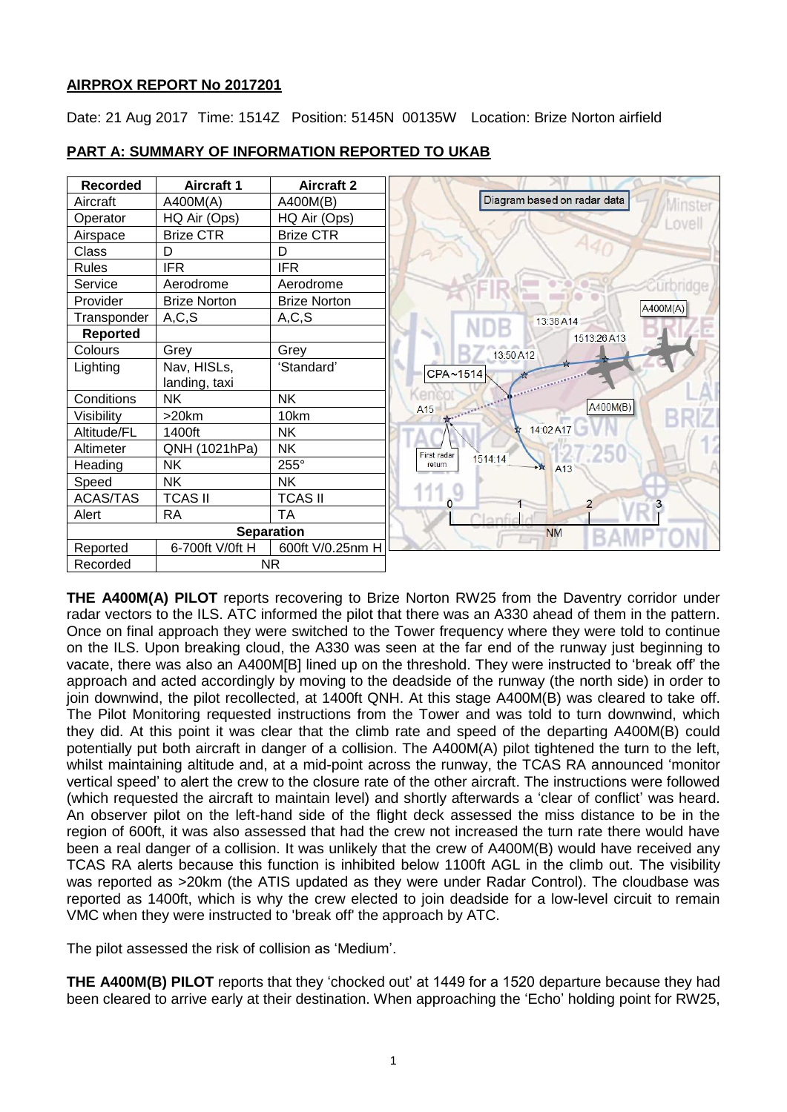# **AIRPROX REPORT No 2017201**

Date: 21 Aug 2017 Time: 1514Z Position: 5145N 00135W Location: Brize Norton airfield

| <b>Recorded</b>   | <b>Aircraft 1</b>   | <b>Aircraft 2</b>   |
|-------------------|---------------------|---------------------|
| Aircraft          | A400M(A)            | A400M(B)            |
| Operator          | HQ Air (Ops)        | HQ Air (Ops)        |
| Airspace          | <b>Brize CTR</b>    | <b>Brize CTR</b>    |
| Class             | D                   | D                   |
| <b>Rules</b>      | <b>IFR</b>          | <b>IFR</b>          |
| Service           | Aerodrome           | Aerodrome           |
| Provider          | <b>Brize Norton</b> | <b>Brize Norton</b> |
| Transponder       | A, C, S             | A, C, S             |
| <b>Reported</b>   |                     |                     |
| Colours           | Grey                | Grey                |
| Lighting          | Nav, HISLs,         | 'Standard'          |
|                   | landing, taxi       |                     |
| Conditions        | NΚ                  | <b>NK</b>           |
| Visibility        | $>20$ km            | 10km                |
| Altitude/FL       | 1400ft              | <b>NK</b>           |
| Altimeter         | QNH (1021hPa)       | <b>NK</b>           |
| Heading           | <b>NK</b>           | 255°                |
| Speed             | <b>NK</b>           | <b>NK</b>           |
| <b>ACAS/TAS</b>   | <b>TCAS II</b>      | <b>TCAS II</b>      |
| Alert             | <b>RA</b>           | TA                  |
| <b>Separation</b> |                     |                     |
| Reported          | 6-700ft V/0ft H     | 600ft V/0.25nm H    |
| Recorded          | NR.                 |                     |

# **PART A: SUMMARY OF INFORMATION REPORTED TO UKAB**

**THE A400M(A) PILOT** reports recovering to Brize Norton RW25 from the Daventry corridor under radar vectors to the ILS. ATC informed the pilot that there was an A330 ahead of them in the pattern. Once on final approach they were switched to the Tower frequency where they were told to continue on the ILS. Upon breaking cloud, the A330 was seen at the far end of the runway just beginning to vacate, there was also an A400M[B] lined up on the threshold. They were instructed to 'break off' the approach and acted accordingly by moving to the deadside of the runway (the north side) in order to join downwind, the pilot recollected, at 1400ft QNH. At this stage A400M(B) was cleared to take off. The Pilot Monitoring requested instructions from the Tower and was told to turn downwind, which they did. At this point it was clear that the climb rate and speed of the departing A400M(B) could potentially put both aircraft in danger of a collision. The A400M(A) pilot tightened the turn to the left, whilst maintaining altitude and, at a mid-point across the runway, the TCAS RA announced 'monitor vertical speed' to alert the crew to the closure rate of the other aircraft. The instructions were followed (which requested the aircraft to maintain level) and shortly afterwards a 'clear of conflict' was heard. An observer pilot on the left-hand side of the flight deck assessed the miss distance to be in the region of 600ft, it was also assessed that had the crew not increased the turn rate there would have been a real danger of a collision. It was unlikely that the crew of A400M(B) would have received any TCAS RA alerts because this function is inhibited below 1100ft AGL in the climb out. The visibility was reported as >20km (the ATIS updated as they were under Radar Control). The cloudbase was reported as 1400ft, which is why the crew elected to join deadside for a low-level circuit to remain VMC when they were instructed to 'break off' the approach by ATC.

The pilot assessed the risk of collision as 'Medium'.

**THE A400M(B) PILOT** reports that they 'chocked out' at 1449 for a 1520 departure because they had been cleared to arrive early at their destination. When approaching the 'Echo' holding point for RW25,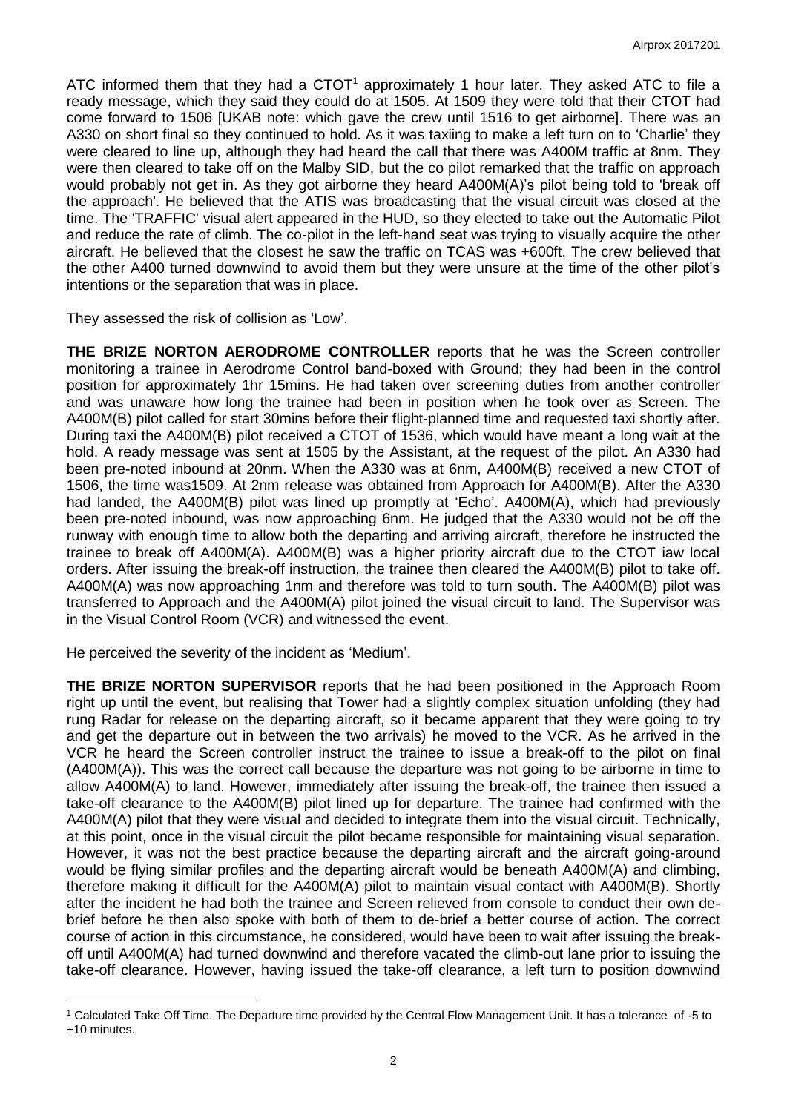ATC informed them that they had a CTOT<sup>1</sup> approximately 1 hour later. They asked ATC to file a ready message, which they said they could do at 1505. At 1509 they were told that their CTOT had come forward to 1506 [UKAB note: which gave the crew until 1516 to get airborne]. There was an A330 on short final so they continued to hold. As it was taxiing to make a left turn on to 'Charlie' they were cleared to line up, although they had heard the call that there was A400M traffic at 8nm. They were then cleared to take off on the Malby SID, but the co pilot remarked that the traffic on approach would probably not get in. As they got airborne they heard A400M(A)'s pilot being told to 'break off the approach'. He believed that the ATIS was broadcasting that the visual circuit was closed at the time. The 'TRAFFIC' visual alert appeared in the HUD, so they elected to take out the Automatic Pilot and reduce the rate of climb. The co-pilot in the left-hand seat was trying to visually acquire the other aircraft. He believed that the closest he saw the traffic on TCAS was +600ft. The crew believed that the other A400 turned downwind to avoid them but they were unsure at the time of the other pilot's intentions or the separation that was in place.

They assessed the risk of collision as 'Low'.

**THE BRIZE NORTON AERODROME CONTROLLER** reports that he was the Screen controller monitoring a trainee in Aerodrome Control band-boxed with Ground; they had been in the control position for approximately 1hr 15mins. He had taken over screening duties from another controller and was unaware how long the trainee had been in position when he took over as Screen. The A400M(B) pilot called for start 30mins before their flight-planned time and requested taxi shortly after. During taxi the A400M(B) pilot received a CTOT of 1536, which would have meant a long wait at the hold. A ready message was sent at 1505 by the Assistant, at the request of the pilot. An A330 had been pre-noted inbound at 20nm. When the A330 was at 6nm, A400M(B) received a new CTOT of 1506, the time was1509. At 2nm release was obtained from Approach for A400M(B). After the A330 had landed, the A400M(B) pilot was lined up promptly at 'Echo'. A400M(A), which had previously been pre-noted inbound, was now approaching 6nm. He judged that the A330 would not be off the runway with enough time to allow both the departing and arriving aircraft, therefore he instructed the trainee to break off A400M(A). A400M(B) was a higher priority aircraft due to the CTOT iaw local orders. After issuing the break-off instruction, the trainee then cleared the A400M(B) pilot to take off. A400M(A) was now approaching 1nm and therefore was told to turn south. The A400M(B) pilot was transferred to Approach and the A400M(A) pilot joined the visual circuit to land. The Supervisor was in the Visual Control Room (VCR) and witnessed the event.

He perceived the severity of the incident as 'Medium'.

 $\overline{\phantom{a}}$ 

**THE BRIZE NORTON SUPERVISOR** reports that he had been positioned in the Approach Room right up until the event, but realising that Tower had a slightly complex situation unfolding (they had rung Radar for release on the departing aircraft, so it became apparent that they were going to try and get the departure out in between the two arrivals) he moved to the VCR. As he arrived in the VCR he heard the Screen controller instruct the trainee to issue a break-off to the pilot on final (A400M(A)). This was the correct call because the departure was not going to be airborne in time to allow A400M(A) to land. However, immediately after issuing the break-off, the trainee then issued a take-off clearance to the A400M(B) pilot lined up for departure. The trainee had confirmed with the A400M(A) pilot that they were visual and decided to integrate them into the visual circuit. Technically, at this point, once in the visual circuit the pilot became responsible for maintaining visual separation. However, it was not the best practice because the departing aircraft and the aircraft going-around would be flying similar profiles and the departing aircraft would be beneath A400M(A) and climbing, therefore making it difficult for the A400M(A) pilot to maintain visual contact with A400M(B). Shortly after the incident he had both the trainee and Screen relieved from console to conduct their own debrief before he then also spoke with both of them to de-brief a better course of action. The correct course of action in this circumstance, he considered, would have been to wait after issuing the breakoff until A400M(A) had turned downwind and therefore vacated the climb-out lane prior to issuing the take-off clearance. However, having issued the take-off clearance, a left turn to position downwind

<sup>1</sup> Calculated Take Off Time. The Departure time provided by the Central Flow Management Unit. It has a tolerance of -5 to +10 minutes.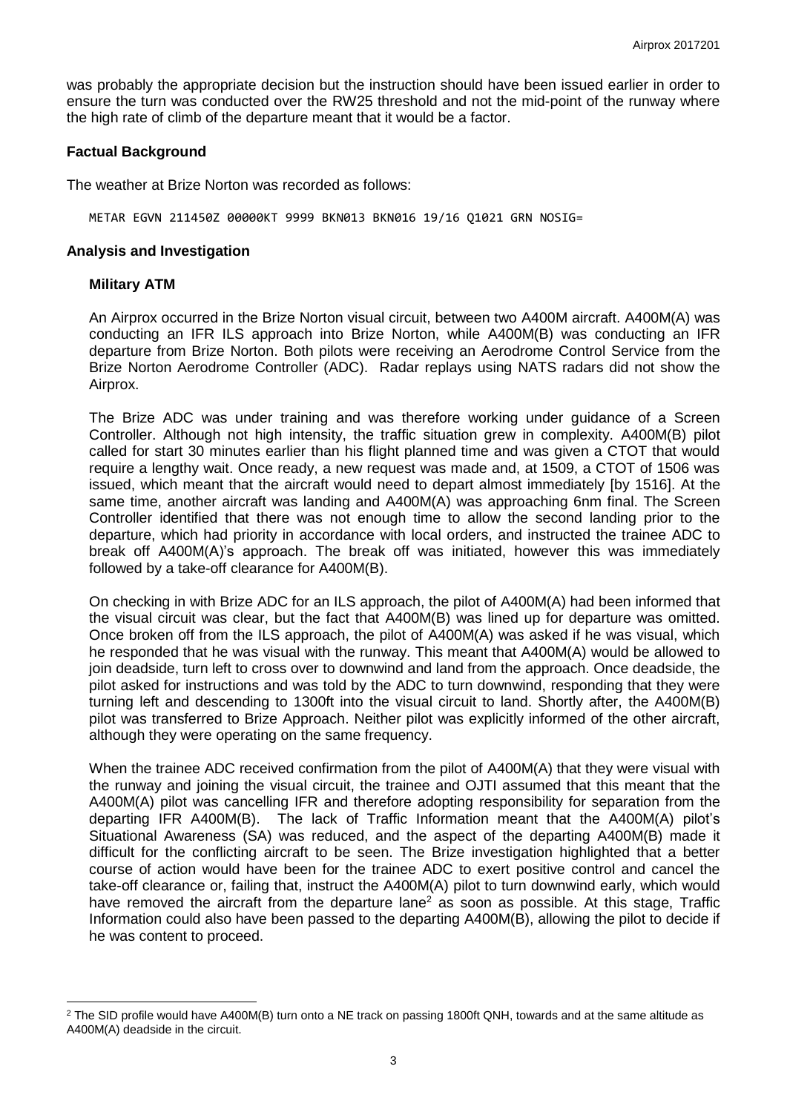was probably the appropriate decision but the instruction should have been issued earlier in order to ensure the turn was conducted over the RW25 threshold and not the mid-point of the runway where the high rate of climb of the departure meant that it would be a factor.

### **Factual Background**

The weather at Brize Norton was recorded as follows:

METAR EGVN 211450Z 00000KT 9999 BKN013 BKN016 19/16 Q1021 GRN NOSIG=

#### **Analysis and Investigation**

### **Military ATM**

An Airprox occurred in the Brize Norton visual circuit, between two A400M aircraft. A400M(A) was conducting an IFR ILS approach into Brize Norton, while A400M(B) was conducting an IFR departure from Brize Norton. Both pilots were receiving an Aerodrome Control Service from the Brize Norton Aerodrome Controller (ADC). Radar replays using NATS radars did not show the Airprox.

The Brize ADC was under training and was therefore working under guidance of a Screen Controller. Although not high intensity, the traffic situation grew in complexity. A400M(B) pilot called for start 30 minutes earlier than his flight planned time and was given a CTOT that would require a lengthy wait. Once ready, a new request was made and, at 1509, a CTOT of 1506 was issued, which meant that the aircraft would need to depart almost immediately [by 1516]. At the same time, another aircraft was landing and A400M(A) was approaching 6nm final. The Screen Controller identified that there was not enough time to allow the second landing prior to the departure, which had priority in accordance with local orders, and instructed the trainee ADC to break off A400M(A)'s approach. The break off was initiated, however this was immediately followed by a take-off clearance for A400M(B).

On checking in with Brize ADC for an ILS approach, the pilot of A400M(A) had been informed that the visual circuit was clear, but the fact that A400M(B) was lined up for departure was omitted. Once broken off from the ILS approach, the pilot of A400M(A) was asked if he was visual, which he responded that he was visual with the runway. This meant that A400M(A) would be allowed to join deadside, turn left to cross over to downwind and land from the approach. Once deadside, the pilot asked for instructions and was told by the ADC to turn downwind, responding that they were turning left and descending to 1300ft into the visual circuit to land. Shortly after, the A400M(B) pilot was transferred to Brize Approach. Neither pilot was explicitly informed of the other aircraft, although they were operating on the same frequency.

When the trainee ADC received confirmation from the pilot of A400M(A) that they were visual with the runway and joining the visual circuit, the trainee and OJTI assumed that this meant that the A400M(A) pilot was cancelling IFR and therefore adopting responsibility for separation from the departing IFR A400M(B). The lack of Traffic Information meant that the A400M(A) pilot's Situational Awareness (SA) was reduced, and the aspect of the departing A400M(B) made it difficult for the conflicting aircraft to be seen. The Brize investigation highlighted that a better course of action would have been for the trainee ADC to exert positive control and cancel the take-off clearance or, failing that, instruct the A400M(A) pilot to turn downwind early, which would have removed the aircraft from the departure lane<sup>2</sup> as soon as possible. At this stage, Traffic Information could also have been passed to the departing A400M(B), allowing the pilot to decide if he was content to proceed.

 $\overline{\phantom{a}}$  $2$  The SID profile would have A400M(B) turn onto a NE track on passing 1800ft QNH, towards and at the same altitude as A400M(A) deadside in the circuit.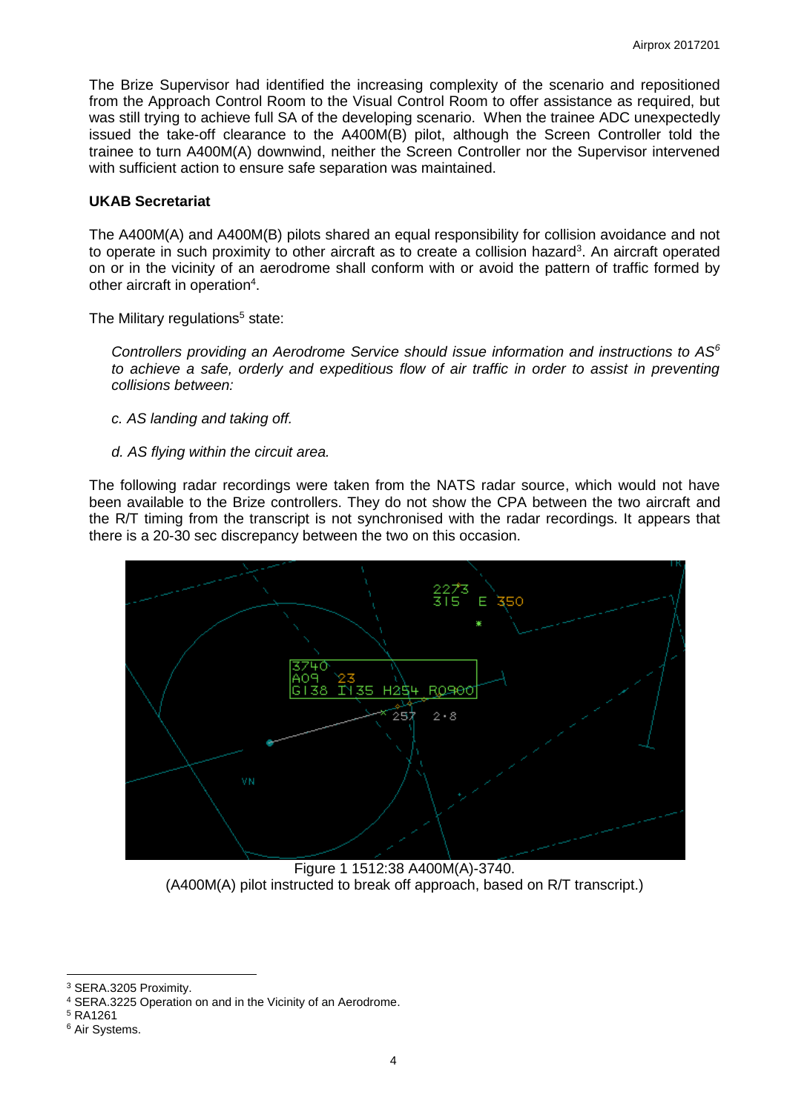The Brize Supervisor had identified the increasing complexity of the scenario and repositioned from the Approach Control Room to the Visual Control Room to offer assistance as required, but was still trying to achieve full SA of the developing scenario. When the trainee ADC unexpectedly issued the take-off clearance to the A400M(B) pilot, although the Screen Controller told the trainee to turn A400M(A) downwind, neither the Screen Controller nor the Supervisor intervened with sufficient action to ensure safe separation was maintained.

## **UKAB Secretariat**

The A400M(A) and A400M(B) pilots shared an equal responsibility for collision avoidance and not to operate in such proximity to other aircraft as to create a collision hazard<sup>3</sup>. An aircraft operated on or in the vicinity of an aerodrome shall conform with or avoid the pattern of traffic formed by other aircraft in operation<sup>4</sup>.

The Military regulations<sup>5</sup> state:

*Controllers providing an Aerodrome Service should issue information and instructions to AS<sup>6</sup> to achieve a safe, orderly and expeditious flow of air traffic in order to assist in preventing collisions between:*

- *c. AS landing and taking off.*
- *d. AS flying within the circuit area.*

The following radar recordings were taken from the NATS radar source, which would not have been available to the Brize controllers. They do not show the CPA between the two aircraft and the R/T timing from the transcript is not synchronised with the radar recordings. It appears that there is a 20-30 sec discrepancy between the two on this occasion.



Figure 1 1512:38 A400M(A)-3740. (A400M(A) pilot instructed to break off approach, based on R/T transcript.)

 $\overline{\phantom{a}}$ <sup>3</sup> SERA.3205 Proximity.

<sup>4</sup> SERA.3225 Operation on and in the Vicinity of an Aerodrome.

<sup>5</sup> RA1261

<sup>6</sup> Air Systems.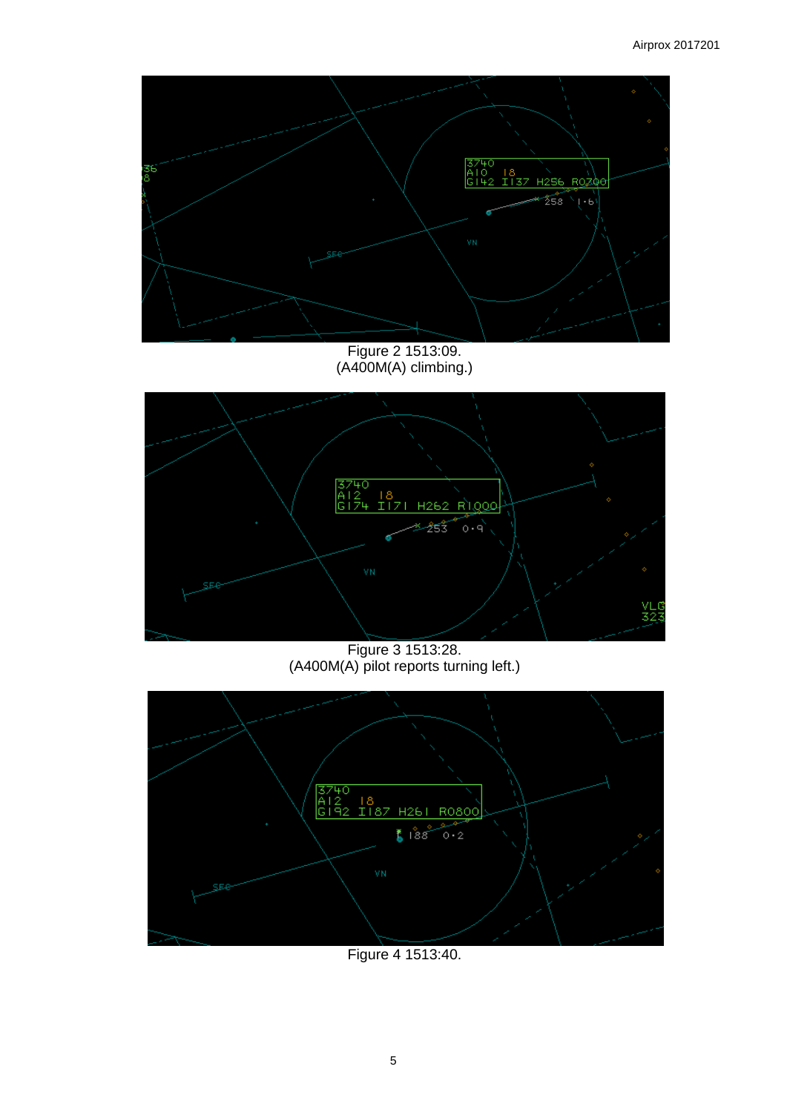

Figure 2 1513:09. (A400M(A) climbing.)



Figure 3 1513:28. (A400M(A) pilot reports turning left.)



Figure 4 1513:40.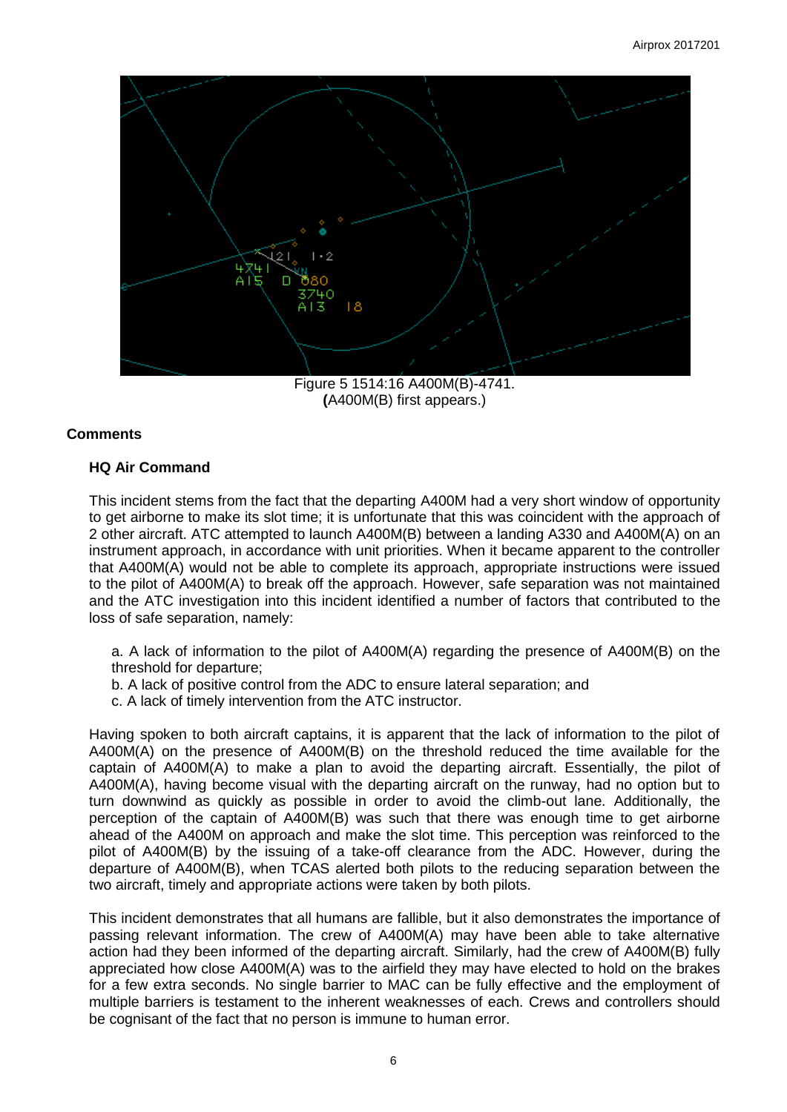

Figure 5 1514:16 A400M(B)-4741. **(**A400M(B) first appears.)

# **Comments**

# **HQ Air Command**

This incident stems from the fact that the departing A400M had a very short window of opportunity to get airborne to make its slot time; it is unfortunate that this was coincident with the approach of 2 other aircraft. ATC attempted to launch A400M(B) between a landing A330 and A400M(A) on an instrument approach, in accordance with unit priorities. When it became apparent to the controller that A400M(A) would not be able to complete its approach, appropriate instructions were issued to the pilot of A400M(A) to break off the approach. However, safe separation was not maintained and the ATC investigation into this incident identified a number of factors that contributed to the loss of safe separation, namely:

a. A lack of information to the pilot of A400M(A) regarding the presence of A400M(B) on the threshold for departure;

- b. A lack of positive control from the ADC to ensure lateral separation; and
- c. A lack of timely intervention from the ATC instructor.

Having spoken to both aircraft captains, it is apparent that the lack of information to the pilot of A400M(A) on the presence of A400M(B) on the threshold reduced the time available for the captain of A400M(A) to make a plan to avoid the departing aircraft. Essentially, the pilot of A400M(A), having become visual with the departing aircraft on the runway, had no option but to turn downwind as quickly as possible in order to avoid the climb-out lane. Additionally, the perception of the captain of A400M(B) was such that there was enough time to get airborne ahead of the A400M on approach and make the slot time. This perception was reinforced to the pilot of A400M(B) by the issuing of a take-off clearance from the ADC. However, during the departure of A400M(B), when TCAS alerted both pilots to the reducing separation between the two aircraft, timely and appropriate actions were taken by both pilots.

This incident demonstrates that all humans are fallible, but it also demonstrates the importance of passing relevant information. The crew of A400M(A) may have been able to take alternative action had they been informed of the departing aircraft. Similarly, had the crew of A400M(B) fully appreciated how close A400M(A) was to the airfield they may have elected to hold on the brakes for a few extra seconds. No single barrier to MAC can be fully effective and the employment of multiple barriers is testament to the inherent weaknesses of each. Crews and controllers should be cognisant of the fact that no person is immune to human error.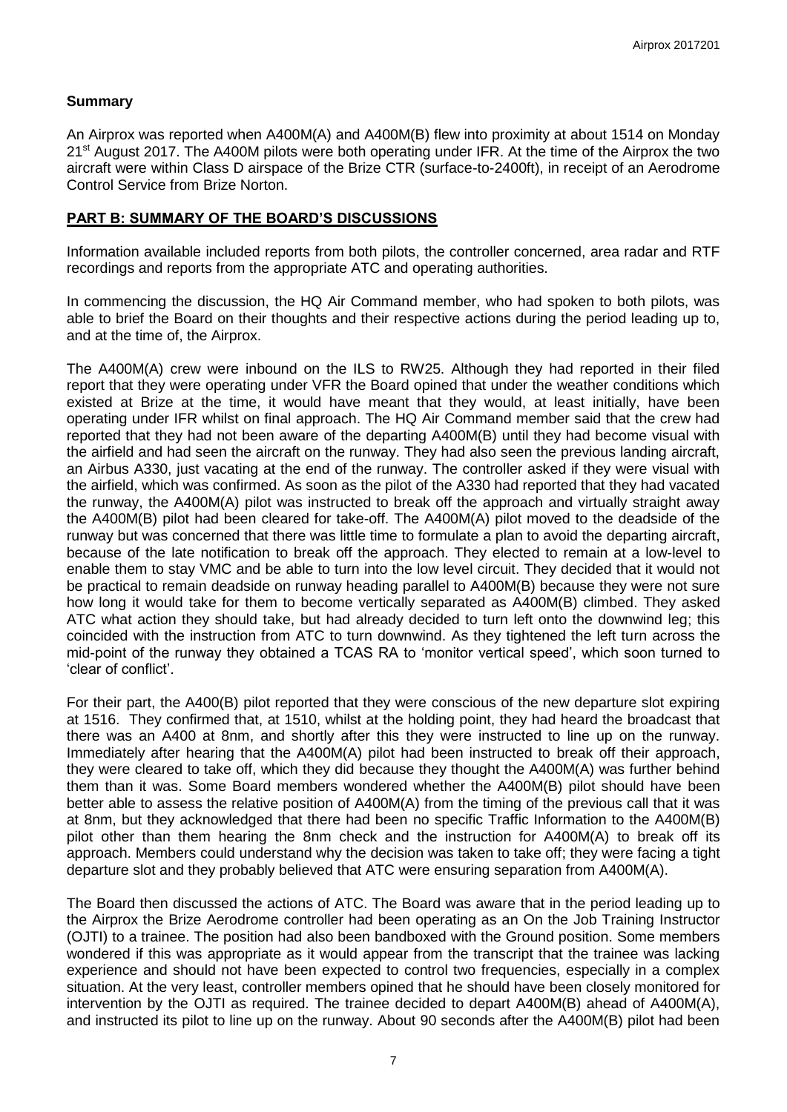## **Summary**

An Airprox was reported when A400M(A) and A400M(B) flew into proximity at about 1514 on Monday 21<sup>st</sup> August 2017. The A400M pilots were both operating under IFR. At the time of the Airprox the two aircraft were within Class D airspace of the Brize CTR (surface-to-2400ft), in receipt of an Aerodrome Control Service from Brize Norton.

### **PART B: SUMMARY OF THE BOARD'S DISCUSSIONS**

Information available included reports from both pilots, the controller concerned, area radar and RTF recordings and reports from the appropriate ATC and operating authorities.

In commencing the discussion, the HQ Air Command member, who had spoken to both pilots, was able to brief the Board on their thoughts and their respective actions during the period leading up to, and at the time of, the Airprox.

The A400M(A) crew were inbound on the ILS to RW25. Although they had reported in their filed report that they were operating under VFR the Board opined that under the weather conditions which existed at Brize at the time, it would have meant that they would, at least initially, have been operating under IFR whilst on final approach. The HQ Air Command member said that the crew had reported that they had not been aware of the departing A400M(B) until they had become visual with the airfield and had seen the aircraft on the runway. They had also seen the previous landing aircraft, an Airbus A330, just vacating at the end of the runway. The controller asked if they were visual with the airfield, which was confirmed. As soon as the pilot of the A330 had reported that they had vacated the runway, the A400M(A) pilot was instructed to break off the approach and virtually straight away the A400M(B) pilot had been cleared for take-off. The A400M(A) pilot moved to the deadside of the runway but was concerned that there was little time to formulate a plan to avoid the departing aircraft, because of the late notification to break off the approach. They elected to remain at a low-level to enable them to stay VMC and be able to turn into the low level circuit. They decided that it would not be practical to remain deadside on runway heading parallel to A400M(B) because they were not sure how long it would take for them to become vertically separated as A400M(B) climbed. They asked ATC what action they should take, but had already decided to turn left onto the downwind leg; this coincided with the instruction from ATC to turn downwind. As they tightened the left turn across the mid-point of the runway they obtained a TCAS RA to 'monitor vertical speed', which soon turned to 'clear of conflict'.

For their part, the A400(B) pilot reported that they were conscious of the new departure slot expiring at 1516. They confirmed that, at 1510, whilst at the holding point, they had heard the broadcast that there was an A400 at 8nm, and shortly after this they were instructed to line up on the runway. Immediately after hearing that the A400M(A) pilot had been instructed to break off their approach, they were cleared to take off, which they did because they thought the A400M(A) was further behind them than it was. Some Board members wondered whether the A400M(B) pilot should have been better able to assess the relative position of A400M(A) from the timing of the previous call that it was at 8nm, but they acknowledged that there had been no specific Traffic Information to the A400M(B) pilot other than them hearing the 8nm check and the instruction for A400M(A) to break off its approach. Members could understand why the decision was taken to take off; they were facing a tight departure slot and they probably believed that ATC were ensuring separation from A400M(A).

The Board then discussed the actions of ATC. The Board was aware that in the period leading up to the Airprox the Brize Aerodrome controller had been operating as an On the Job Training Instructor (OJTI) to a trainee. The position had also been bandboxed with the Ground position. Some members wondered if this was appropriate as it would appear from the transcript that the trainee was lacking experience and should not have been expected to control two frequencies, especially in a complex situation. At the very least, controller members opined that he should have been closely monitored for intervention by the OJTI as required. The trainee decided to depart A400M(B) ahead of A400M(A), and instructed its pilot to line up on the runway. About 90 seconds after the A400M(B) pilot had been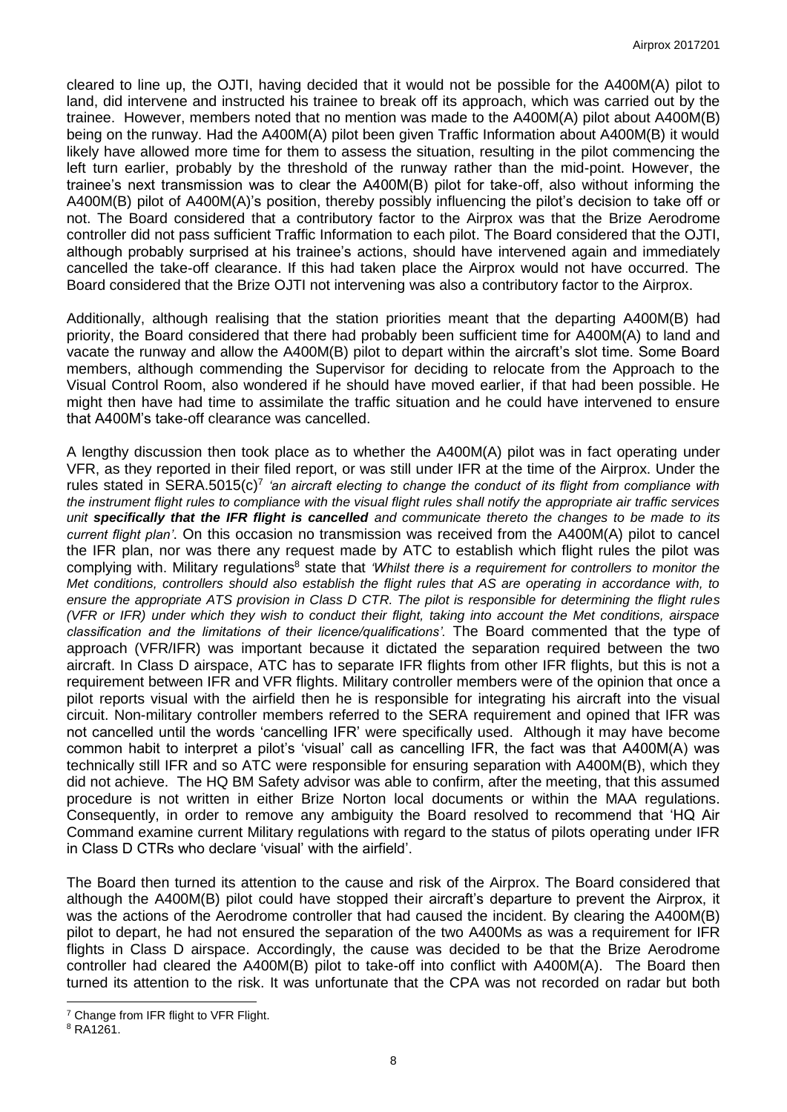cleared to line up, the OJTI, having decided that it would not be possible for the A400M(A) pilot to land, did intervene and instructed his trainee to break off its approach, which was carried out by the trainee. However, members noted that no mention was made to the A400M(A) pilot about A400M(B) being on the runway. Had the A400M(A) pilot been given Traffic Information about A400M(B) it would likely have allowed more time for them to assess the situation, resulting in the pilot commencing the left turn earlier, probably by the threshold of the runway rather than the mid-point. However, the trainee's next transmission was to clear the A400M(B) pilot for take-off, also without informing the A400M(B) pilot of A400M(A)'s position, thereby possibly influencing the pilot's decision to take off or not. The Board considered that a contributory factor to the Airprox was that the Brize Aerodrome controller did not pass sufficient Traffic Information to each pilot. The Board considered that the OJTI, although probably surprised at his trainee's actions, should have intervened again and immediately cancelled the take-off clearance. If this had taken place the Airprox would not have occurred. The Board considered that the Brize OJTI not intervening was also a contributory factor to the Airprox.

Additionally, although realising that the station priorities meant that the departing A400M(B) had priority, the Board considered that there had probably been sufficient time for A400M(A) to land and vacate the runway and allow the A400M(B) pilot to depart within the aircraft's slot time. Some Board members, although commending the Supervisor for deciding to relocate from the Approach to the Visual Control Room, also wondered if he should have moved earlier, if that had been possible. He might then have had time to assimilate the traffic situation and he could have intervened to ensure that A400M's take-off clearance was cancelled.

A lengthy discussion then took place as to whether the A400M(A) pilot was in fact operating under VFR, as they reported in their filed report, or was still under IFR at the time of the Airprox. Under the rules stated in SERA.5015(c)<sup>7</sup> 'an aircraft electing to change the conduct of its flight from compliance with *the instrument flight rules to compliance with the visual flight rules shall notify the appropriate air traffic services unit specifically that the IFR flight is cancelled and communicate thereto the changes to be made to its current flight plan'*. On this occasion no transmission was received from the A400M(A) pilot to cancel the IFR plan, nor was there any request made by ATC to establish which flight rules the pilot was complying with. Military regulations<sup>8</sup> state that *'Whilst there is a requirement for controllers to monitor the Met conditions, controllers should also establish the flight rules that AS are operating in accordance with, to ensure the appropriate ATS provision in Class D CTR. The pilot is responsible for determining the flight rules (VFR or IFR) under which they wish to conduct their flight, taking into account the Met conditions, airspace classification and the limitations of their licence/qualifications'.* The Board commented that the type of approach (VFR/IFR) was important because it dictated the separation required between the two aircraft. In Class D airspace, ATC has to separate IFR flights from other IFR flights, but this is not a requirement between IFR and VFR flights. Military controller members were of the opinion that once a pilot reports visual with the airfield then he is responsible for integrating his aircraft into the visual circuit. Non-military controller members referred to the SERA requirement and opined that IFR was not cancelled until the words 'cancelling IFR' were specifically used. Although it may have become common habit to interpret a pilot's 'visual' call as cancelling IFR, the fact was that A400M(A) was technically still IFR and so ATC were responsible for ensuring separation with A400M(B), which they did not achieve. The HQ BM Safety advisor was able to confirm, after the meeting, that this assumed procedure is not written in either Brize Norton local documents or within the MAA regulations. Consequently, in order to remove any ambiguity the Board resolved to recommend that 'HQ Air Command examine current Military regulations with regard to the status of pilots operating under IFR in Class D CTRs who declare 'visual' with the airfield'.

The Board then turned its attention to the cause and risk of the Airprox. The Board considered that although the A400M(B) pilot could have stopped their aircraft's departure to prevent the Airprox, it was the actions of the Aerodrome controller that had caused the incident. By clearing the A400M(B) pilot to depart, he had not ensured the separation of the two A400Ms as was a requirement for IFR flights in Class D airspace. Accordingly, the cause was decided to be that the Brize Aerodrome controller had cleared the A400M(B) pilot to take-off into conflict with A400M(A). The Board then turned its attention to the risk. It was unfortunate that the CPA was not recorded on radar but both

 $\overline{\phantom{a}}$ 

<sup>7</sup> Change from IFR flight to VFR Flight.

<sup>8</sup> RA1261.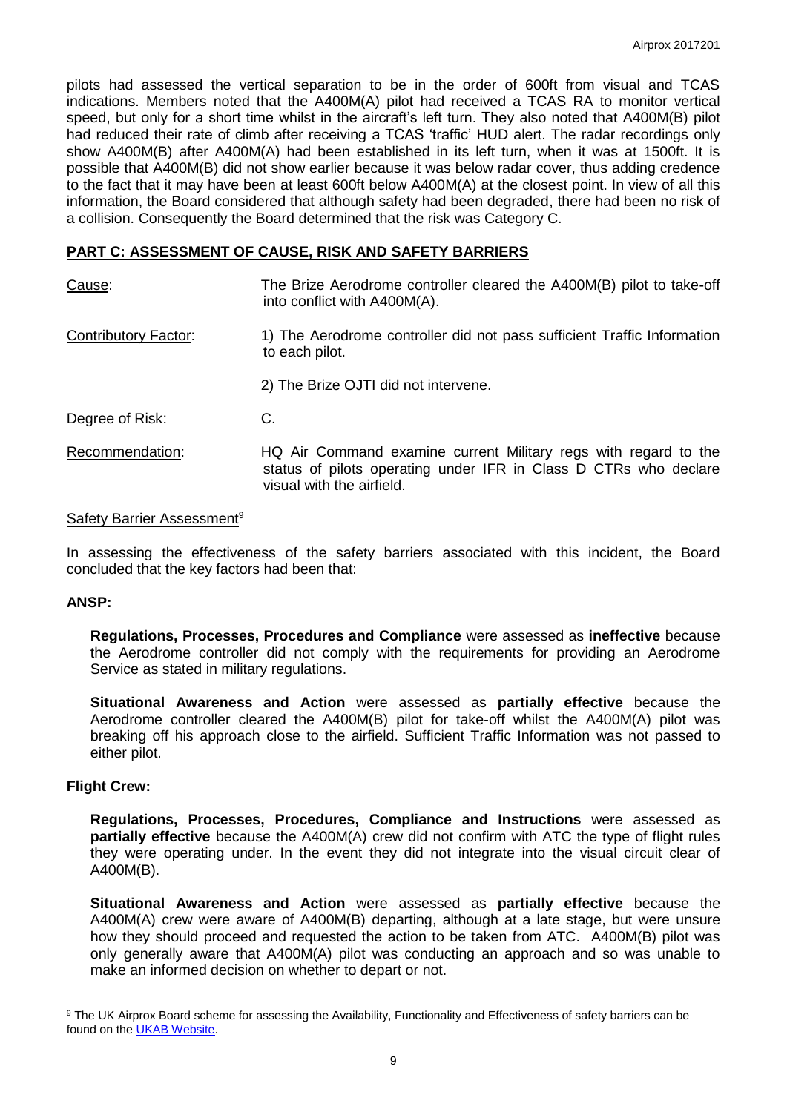pilots had assessed the vertical separation to be in the order of 600ft from visual and TCAS indications. Members noted that the A400M(A) pilot had received a TCAS RA to monitor vertical speed, but only for a short time whilst in the aircraft's left turn. They also noted that A400M(B) pilot had reduced their rate of climb after receiving a TCAS 'traffic' HUD alert. The radar recordings only show A400M(B) after A400M(A) had been established in its left turn, when it was at 1500ft. It is possible that A400M(B) did not show earlier because it was below radar cover, thus adding credence to the fact that it may have been at least 600ft below A400M(A) at the closest point. In view of all this information, the Board considered that although safety had been degraded, there had been no risk of a collision. Consequently the Board determined that the risk was Category C.

### **PART C: ASSESSMENT OF CAUSE, RISK AND SAFETY BARRIERS**

| Cause:                      | The Brize Aerodrome controller cleared the A400M(B) pilot to take-off<br>into conflict with A400M(A).                                                            |
|-----------------------------|------------------------------------------------------------------------------------------------------------------------------------------------------------------|
| <b>Contributory Factor:</b> | 1) The Aerodrome controller did not pass sufficient Traffic Information<br>to each pilot.                                                                        |
|                             | 2) The Brize OJTI did not intervene.                                                                                                                             |
| Degree of Risk:             | C.                                                                                                                                                               |
| Recommendation:             | HQ Air Command examine current Military regs with regard to the<br>status of pilots operating under IFR in Class D CTRs who declare<br>visual with the airfield. |

### Safety Barrier Assessment<sup>9</sup>

In assessing the effectiveness of the safety barriers associated with this incident, the Board concluded that the key factors had been that:

### **ANSP:**

**Regulations, Processes, Procedures and Compliance** were assessed as **ineffective** because the Aerodrome controller did not comply with the requirements for providing an Aerodrome Service as stated in military regulations.

**Situational Awareness and Action** were assessed as **partially effective** because the Aerodrome controller cleared the A400M(B) pilot for take-off whilst the A400M(A) pilot was breaking off his approach close to the airfield. Sufficient Traffic Information was not passed to either pilot.

### **Flight Crew:**

 $\overline{\phantom{a}}$ 

**Regulations, Processes, Procedures, Compliance and Instructions** were assessed as **partially effective** because the A400M(A) crew did not confirm with ATC the type of flight rules they were operating under. In the event they did not integrate into the visual circuit clear of A400M(B).

**Situational Awareness and Action** were assessed as **partially effective** because the A400M(A) crew were aware of A400M(B) departing, although at a late stage, but were unsure how they should proceed and requested the action to be taken from ATC. A400M(B) pilot was only generally aware that A400M(A) pilot was conducting an approach and so was unable to make an informed decision on whether to depart or not.

<sup>&</sup>lt;sup>9</sup> The UK Airprox Board scheme for assessing the Availability, Functionality and Effectiveness of safety barriers can be found on the **UKAB Website**.